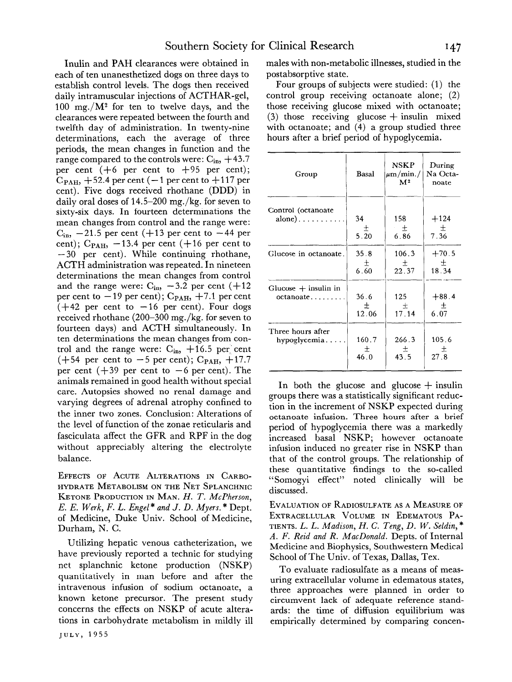Inulin and PAH clearances were obtained in each of ten unanesthetized dogs on three days to establish control levels. The dogs then received daily intramuscular injections of ACTHAR-gel, 100 mg./ $M^2$  for ten to twelve days, and the clearances were repeated between the fourth and twelfth day of administration. In twenty-nine determinations, each the average of three periods, the mean changes in function and the range compared to the controls were:  $C_{in}$ , +43.7 per cent  $(+6$  per cent to  $+95$  per cent);  $C_{\text{PAH}}$ ,  $+52.4$  per cent ( $-1$  per cent to  $+117$  per cent). Five dogs received rhothane (DDD) in daily oral doses of 14.5-200 mg./kg. for seven to sixty-six days. In fourteen determinations the mean changes from control and the range were:  $C_{\rm in}$ ,  $-21.5$  per cent ( $+13$  per cent to  $-44$  per cent);  $C_{\text{PAH}}$ ,  $-13.4$  per cent ( $+16$  per cent to  $-30$  per cent). While continuing rhothane, ACTH administration was repeated. In nineteen determinations the mean changes from control and the range were:  $C_{in}$ ,  $-3.2$  per cent (+12 per cent to  $-19$  per cent);  $C_{PAH}$ ,  $+7.1$  per cent  $(+42)$  per cent to  $-16$  per cent). Four dogs received rhothane (200-300 mg./kg. for seven to fourteen days) and ACTH simultaneously. In ten determinations the mean changes from control and the range were:  $C_{in}$ ,  $+16.5$  per cent  $(+54$  per cent to  $-5$  per cent); C<sub>PAH</sub>,  $+17.7$ per cent  $(+39)$  per cent to  $-6$  per cent). The animals remained in good health without special care. Autopsies showed no renal damage and varying degrees of adrenal atrophy confined to the inner two zones. Conclusion: Alterations of the level of function of the zonae reticularis and fasciculata affect the GFR and RPF in the dog without appreciably altering the electrolyte balance.

**EFFECTS OF ACUTE ALTERATIONS IN CARBO-HYDRATE METABOLISM ON THE NET SPLANCHNIC KETONE PRODUCTION IN MAN.** *H. T. McPherson, E. E. Werk, F. L. Engel \* and J. D. Myers. \** Dept. of Medicine, Duke Univ. School of Medicine, Durham, N. C.

Utilizing hepatic venous catheterization, we have previously reported a technic for studying net splanchnic ketone production (NSKP) quantitatively in man before and after the intravenous infusion of sodium octanoate, a known ketone precursor. The present study concerns the effects on NSKP of acute alterations in carbohydrate metabolism in mildly ill **JULY, 1955** 

males with non-metabolic illnesses, studied in the postabsorptive state.

Four groups of subjects were studied: (1) the control group receiving octanoate alone; (2) those receiving glucose mixed with octanoate; (3) those receiving glucose  $+$  insulin mixed with octanoate; and (4) a group studied three hours after a brief period of hypoglycemia.

| Group                               | Basal                      | <b>NSKP</b><br>$\mu$ m/min./<br>M <sup>2</sup> | During<br>Na Octa-<br>noate |
|-------------------------------------|----------------------------|------------------------------------------------|-----------------------------|
| Control (octanoate<br>alone)        | 34<br>土<br>5.20            | 158<br>一士<br>6.86                              | $+124$<br>士<br>7.36         |
| Glucose in octanoate.               | 35.8<br>$\frac{\pm}{6.60}$ | 106.3<br>$rac{\pm}{22.37}$                     | $+70.5$<br>士<br>18.34       |
| Glucose $+$ insulin in<br>octanoate | 36.6<br>$\pm$<br>12.06     | 125<br>土<br>17.14                              | $+88.4$<br>土<br>6.07        |
| Three hours after<br>hypoglycemia   | 160.7<br>$^{+}$<br>46.0    | 266.3<br>43.5                                  | 105.6<br>土<br>27.8          |

In both the glucose and glucose  $+$  insulin groups there was a statistically significant reduction in the increment of NSKP expected during octanoate infusion. Three hours after a brief period of hypoglycemia there was a markedly increased basal NSKP; however octanoate infusion induced no greater rise in NSKP than that of the control groups. The relationship of these quantitative findings to the so-called "Somogyi effect" noted clinically will be discussed.

**EVALUATION OF RADIOSULFATE AS A MEASURE OF EXTRACELLULAR VOLUME IN EDEMATOUS PA-TIENTS.** *L. L. Madison, H. C. Teng, D. W. Seldin, \* A. F. Reid and R. MacDonald.* Depts. of Internal Medicine and Biophysics, Southwestern Medical School of The Univ. of Texas, Dallas, Tex.

To evaluate radiosulfate as a means of measuring extracellular volume in edematous states, three approaches were planned in order to circumvent lack of adequate reference standards: the time of diffusion equilibrium was empirically determined by comparing concen